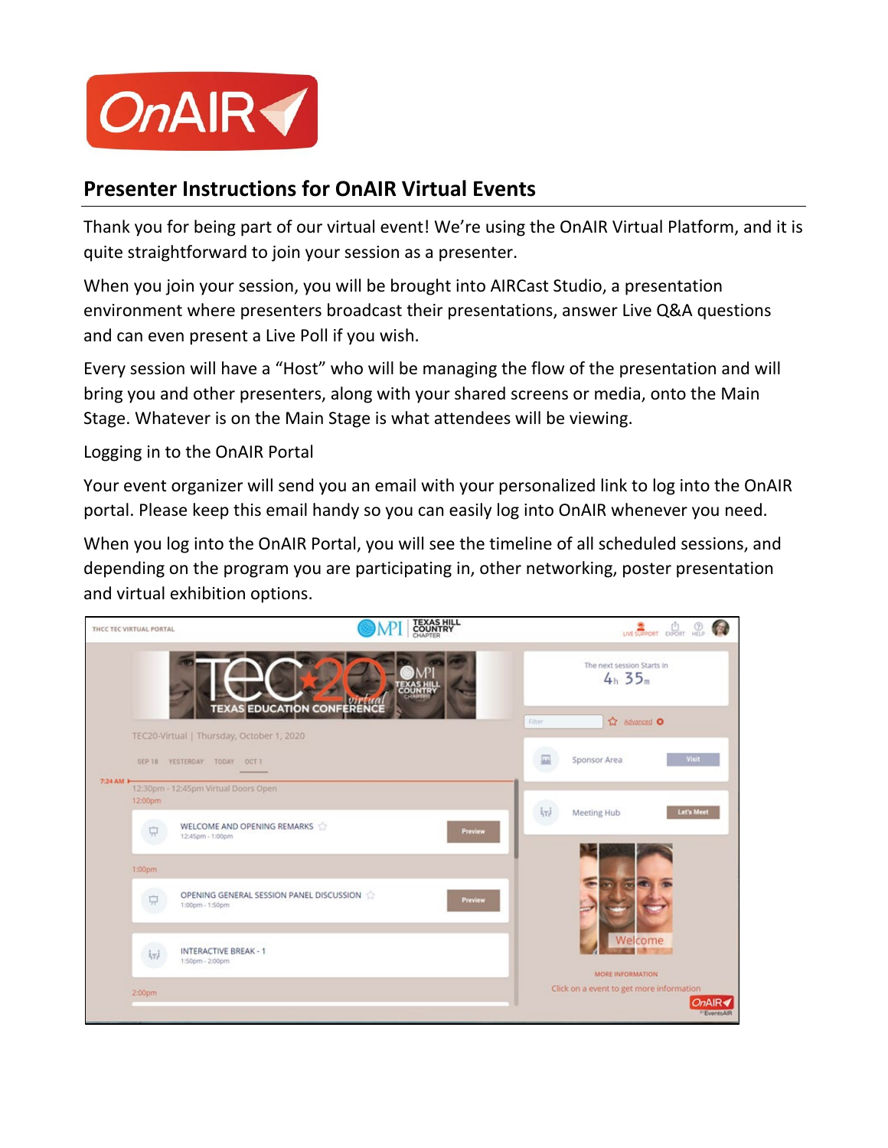

## **Presenter Instructions for OnAIR Virtual Events**

Thank you for being part of our virtual event! We're using the OnAIR Virtual Platform, and it is quite straightforward to join your session as a presenter.

When you join your session, you will be brought into AIRCast Studio, a presentation environment where presenters broadcast their presentations, answer Live Q&A questions and can even present a Live Poll if you wish.

Every session will have a "Host" who will be managing the flow of the presentation and will bring you and other presenters, along with your shared screens or media, onto the Main Stage. Whatever is on the Main Stage is what attendees will be viewing.

Logging in to the OnAIR Portal

Your event organizer will send you an email with your personalized link to log into the OnAIR portal. Please keep this email handy so you can easily log into OnAIR whenever you need.

When you log into the OnAIR Portal, you will see the timeline of all scheduled sessions, and depending on the program you are participating in, other networking, poster presentation and virtual exhibition options.

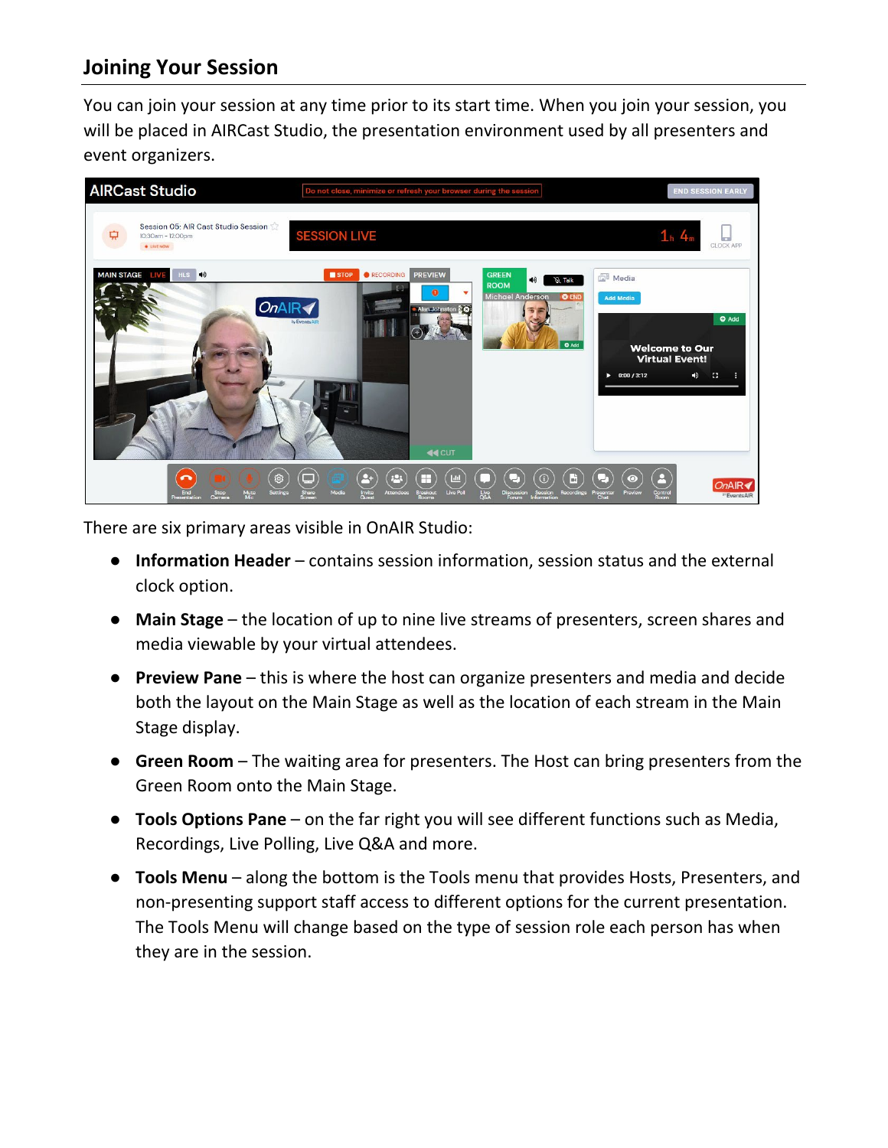## **Joining Your Session**

You can join your session at any time prior to its start time. When you join your session, you will be placed in AIRCast Studio, the presentation environment used by all presenters and event organizers.



There are six primary areas visible in OnAIR Studio:

- **Information Header** contains session information, session status and the external clock option.
- **Main Stage** the location of up to nine live streams of presenters, screen shares and media viewable by your virtual attendees.
- **Preview Pane** this is where the host can organize presenters and media and decide both the layout on the Main Stage as well as the location of each stream in the Main Stage display.
- **Green Room** The waiting area for presenters. The Host can bring presenters from the Green Room onto the Main Stage.
- **Tools Options Pane** on the far right you will see different functions such as Media, Recordings, Live Polling, Live Q&A and more.
- **Tools Menu**  along the bottom is the Tools menu that provides Hosts, Presenters, and non-presenting support staff access to different options for the current presentation. The Tools Menu will change based on the type of session role each person has when they are in the session.